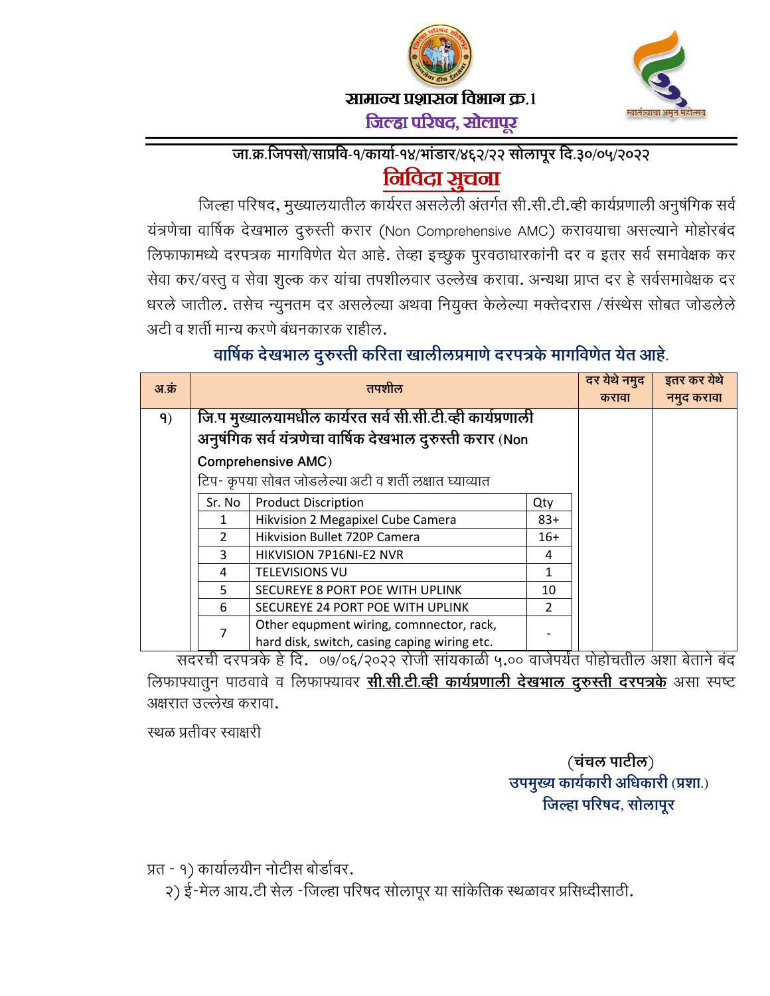





िजहापरषद, सोलापरू

## जा.क्र.जिपसो/साप्रवि-१/कार्या-१४/भाडार/४६२/२२ सोलापूर दि.३०/०५/२०२२ <u>निविदा सूचना</u>

जिल्हा परिषद, मुख्यालयातील कार्यरत असलेली अंतर्गत सी.सी.टी.व्ही कार्यप्रणाली अनुषर्गिक सर्व यत्रणेचा वार्षिक देखभाल दुरुस्ती करार (Non Comprehensive AMC) करावयाचा असल्याने मोहोरबंद लिफाफामध्ये दरपत्रक मार्गावेणेत येत आहे. तेव्हा इच्छुक पुरवठाधारकांनी दर व इतर सर्व समावेक्षक कर सेवा कर/वस्तु व सेवा शुल्क कर याचा तपशीलवार उल्लेख करावा. अन्यथा प्राप्त दर हे सर्वसमार्वेक्षक दर धरले जातील. तसेच न्युनतम दर असलेल्या अथवा नियुक्त केलेल्या मर्क्तदरास /संस्थेस सोबत जोडलेले अटी व शती मान्य करणे बंधनकारक राहील.

## वार्षिक देखभाल दुरुस्ती करिता खालीलप्रमाणे दरपत्रके मार्गावेणेत येत आहे.

| अ.क्र |                                                            | तपशील                                        |               | दर येथे नमुद<br>करावा | इतर कर येथे<br>नमुद करावा |
|-------|------------------------------------------------------------|----------------------------------------------|---------------|-----------------------|---------------------------|
| 9)    | जि.प मुख्यालयामधील कार्यरत सर्व सी.सी.टी.व्ही कार्यप्रणाली |                                              |               |                       |                           |
|       | अनुषंगिक सर्व यंत्रणेचा वार्षिक देखभाल दुरुस्ती करार (Non  |                                              |               |                       |                           |
|       | <b>Comprehensive AMC)</b>                                  |                                              |               |                       |                           |
|       | टिप- कृपया सोबत जोडलेल्या अटी व शर्ती लक्षात घ्याव्यात     |                                              |               |                       |                           |
|       | Sr. No                                                     | <b>Product Discription</b>                   | Qty           |                       |                           |
|       |                                                            | Hikvision 2 Megapixel Cube Camera            | $83+$         |                       |                           |
|       |                                                            | Hikvision Bullet 720P Camera                 | $16+$         |                       |                           |
|       | 3                                                          | HIKVISION 7P16NI-E2 NVR                      | 4             |                       |                           |
|       | 4                                                          | <b>TELEVISIONS VU</b>                        |               |                       |                           |
|       | 5                                                          | SECUREYE 8 PORT POE WITH UPLINK              | 10            |                       |                           |
|       | 6                                                          | SECUREYE 24 PORT POE WITH UPLINK             | $\mathcal{P}$ |                       |                           |
|       | 7                                                          | Other equpment wiring, comnnector, rack,     |               |                       |                           |
|       |                                                            | hard disk, switch, casing caping wiring etc. |               |                       |                           |

सदरची दरपत्रके हे दि. ०७/०६/२०२२ रोजी सायकाळी ५.०० वाजेपर्यंत पोहोचतील अशा बेताने बंद लिफाफ्यातुन पाठवावे व लिफाफ्यावर <u>**सी.सी.टी.व्ही कार्यप्रणाली देखभाल दुरुस्ती दरपत्रके** असा स्पष्ट</u> अक्षरात उल्लेख करावा.

स्थळ प्रतीवर स्वाक्षरी

(चचल पाटील) उपमुख्य कार्यकारी अधिकारी (प्रशा.) जिल्हा परिषद, सोलापूर

प्रत - १) कार्यालयीन नोटीस बोडीवर.

२) ई-मेल आय.टी सेल -जिल्हा परिषद सोलापूर या सार्केतिक स्थळावर प्रसिध्दीसाठी.